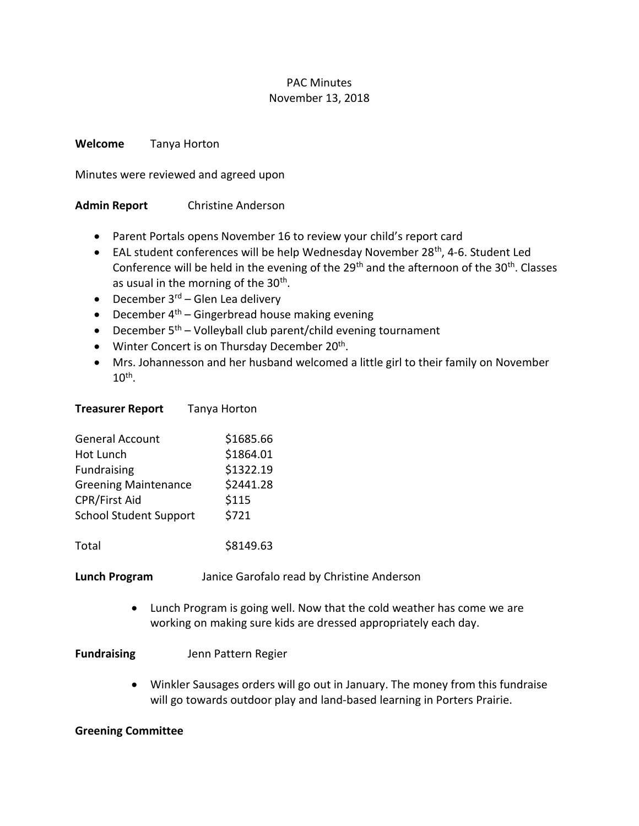#### PAC Minutes November 13, 2018

**Welcome** Tanya Horton

Minutes were reviewed and agreed upon

## **Admin Report** Christine Anderson

- Parent Portals opens November 16 to review your child's report card
- EAL student conferences will be help Wednesday November 28<sup>th</sup>, 4-6. Student Led Conference will be held in the evening of the  $29<sup>th</sup>$  and the afternoon of the  $30<sup>th</sup>$ . Classes as usual in the morning of the 30<sup>th</sup>.
- December  $3^{rd}$  Glen Lea delivery
- December  $4<sup>th</sup>$  Gingerbread house making evening
- December  $5<sup>th</sup>$  Volleyball club parent/child evening tournament
- Winter Concert is on Thursday December 20<sup>th</sup>.
- Mrs. Johannesson and her husband welcomed a little girl to their family on November  $10^{\text{th}}$ .

| <b>General Account</b>        | \$1685.66 |
|-------------------------------|-----------|
| Hot Lunch                     | \$1864.01 |
| Fundraising                   | \$1322.19 |
| <b>Greening Maintenance</b>   | \$2441.28 |
| <b>CPR/First Aid</b>          | \$115     |
| <b>School Student Support</b> | \$721     |
|                               |           |

**Treasurer Report** Tanya Horton

Total \$8149.63

**Lunch Program** Janice Garofalo read by Christine Anderson

• Lunch Program is going well. Now that the cold weather has come we are working on making sure kids are dressed appropriately each day.

## **Fundraising** Jenn Pattern Regier

• Winkler Sausages orders will go out in January. The money from this fundraise will go towards outdoor play and land-based learning in Porters Prairie.

## **Greening Committee**